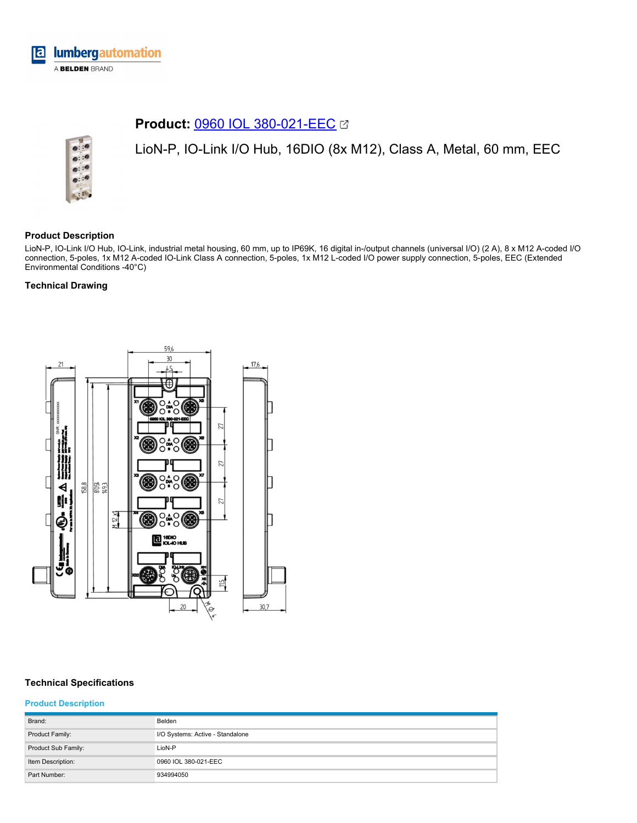

# **Product: [0960 IOL 380-021-EEC](https://catalog.belden.com/index.cfm?event=pd&p=PF_0960IOL380021EEC&tab=downloads) &**



LioN-P, IO-Link I/O Hub, 16DIO (8x M12), Class A, Metal, 60 mm, EEC

## **Product Description**

LioN-P, IO-Link I/O Hub, IO-Link, industrial metal housing, 60 mm, up to IP69K, 16 digital in-/output channels (universal I/O) (2 A), 8 x M12 A-coded I/O connection, 5-poles, 1x M12 A-coded IO-Link Class A connection, 5-poles, 1x M12 L-coded I/O power supply connection, 5-poles, EEC (Extended Environmental Conditions -40°C)

# **Technical Drawing**



# **Technical Specifications**

# **Product Description**

| Brand:              | Belden                           |
|---------------------|----------------------------------|
| Product Family:     | I/O Systems: Active - Standalone |
| Product Sub Family: | LioN-P                           |
| Item Description:   | 0960 IOL 380-021-EEC             |
| Part Number:        | 934994050                        |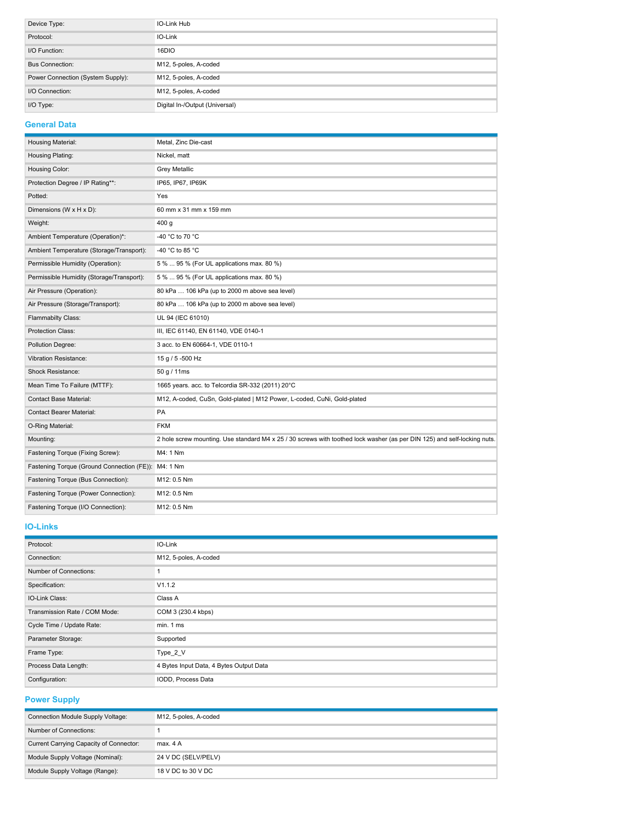| Device Type:                      | IO-Link Hub                    |
|-----------------------------------|--------------------------------|
| Protocol:                         | IO-Link                        |
| I/O Function:                     | 16DIO                          |
| <b>Bus Connection:</b>            | M12, 5-poles, A-coded          |
| Power Connection (System Supply): | M12, 5-poles, A-coded          |
| I/O Connection:                   | M12, 5-poles, A-coded          |
| I/O Type:                         | Digital In-/Output (Universal) |

### **General Data**

| Housing Material:                          | Metal, Zinc Die-cast                                                                                                     |
|--------------------------------------------|--------------------------------------------------------------------------------------------------------------------------|
| Housing Plating:                           | Nickel, matt                                                                                                             |
| Housing Color:                             | <b>Grey Metallic</b>                                                                                                     |
| Protection Degree / IP Rating**:           | IP65, IP67, IP69K                                                                                                        |
| Potted:                                    | Yes                                                                                                                      |
| Dimensions (W x H x D):                    | 60 mm x 31 mm x 159 mm                                                                                                   |
| Weight:                                    | 400 <sub>g</sub>                                                                                                         |
| Ambient Temperature (Operation)*:          | -40 °C to 70 °C                                                                                                          |
| Ambient Temperature (Storage/Transport):   | -40 °C to 85 °C                                                                                                          |
| Permissible Humidity (Operation):          | 5 %  95 % (For UL applications max. 80 %)                                                                                |
| Permissible Humidity (Storage/Transport):  | 5 %  95 % (For UL applications max. 80 %)                                                                                |
| Air Pressure (Operation):                  | 80 kPa  106 kPa (up to 2000 m above sea level)                                                                           |
| Air Pressure (Storage/Transport):          | 80 kPa  106 kPa (up to 2000 m above sea level)                                                                           |
| Flammabilty Class:                         | UL 94 (IEC 61010)                                                                                                        |
| Protection Class:                          | III, IEC 61140, EN 61140, VDE 0140-1                                                                                     |
| Pollution Degree:                          | 3 acc. to EN 60664-1, VDE 0110-1                                                                                         |
| <b>Vibration Resistance:</b>               | 15 g / 5 -500 Hz                                                                                                         |
| <b>Shock Resistance:</b>                   | 50 g / 11ms                                                                                                              |
| Mean Time To Failure (MTTF):               | 1665 years. acc. to Telcordia SR-332 (2011) 20°C                                                                         |
| <b>Contact Base Material:</b>              | M12, A-coded, CuSn, Gold-plated   M12 Power, L-coded, CuNi, Gold-plated                                                  |
| <b>Contact Bearer Material:</b>            | PA                                                                                                                       |
| O-Ring Material:                           | <b>FKM</b>                                                                                                               |
| Mounting:                                  | 2 hole screw mounting. Use standard M4 x 25 / 30 screws with toothed lock washer (as per DIN 125) and self-locking nuts. |
| Fastening Torque (Fixing Screw):           | M4: 1 Nm                                                                                                                 |
| Fastening Torque (Ground Connection (FE)): | M4: 1 Nm                                                                                                                 |
| Fastening Torque (Bus Connection):         | M12: 0.5 Nm                                                                                                              |
| Fastening Torque (Power Connection):       | M12: 0.5 Nm                                                                                                              |
| Fastening Torque (I/O Connection):         | M12: 0.5 Nm                                                                                                              |

### **IO-Links**

| Protocol:                     | IO-Link                                 |
|-------------------------------|-----------------------------------------|
| Connection:                   | M12, 5-poles, A-coded                   |
| Number of Connections:        |                                         |
| Specification:                | V1.1.2                                  |
| IO-Link Class:                | Class A                                 |
| Transmission Rate / COM Mode: | COM 3 (230.4 kbps)                      |
| Cycle Time / Update Rate:     | min. 1 ms                               |
| Parameter Storage:            | Supported                               |
| Frame Type:                   | Type 2 V                                |
| Process Data Length:          | 4 Bytes Input Data, 4 Bytes Output Data |
| Configuration:                | IODD, Process Data                      |

**Power Supply**

| Connection Module Supply Voltage:       | M12, 5-poles, A-coded |
|-----------------------------------------|-----------------------|
| Number of Connections:                  |                       |
| Current Carrying Capacity of Connector: | max. 4A               |
| Module Supply Voltage (Nominal):        | 24 V DC (SELV/PELV)   |
| Module Supply Voltage (Range):          | 18 V DC to 30 V DC    |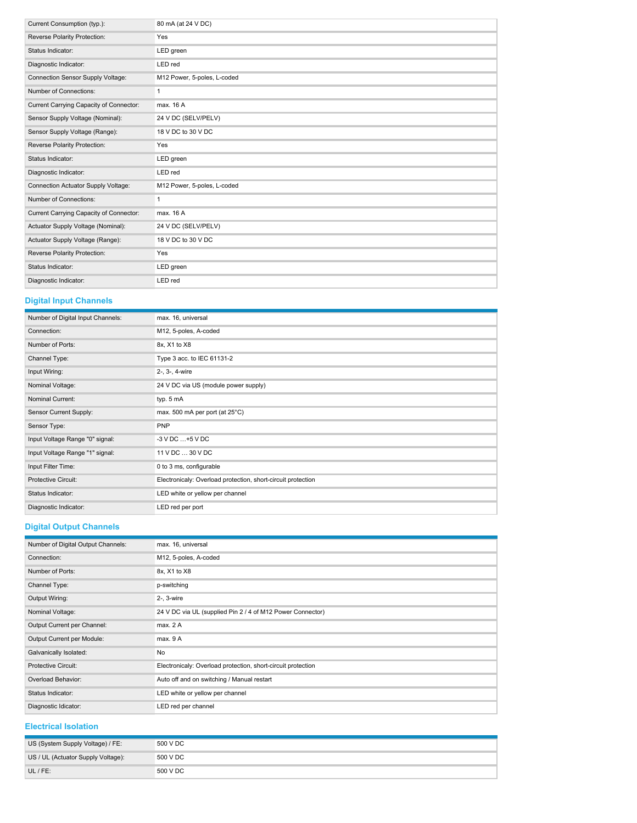| Current Consumption (typ.):             | 80 mA (at 24 V DC)          |
|-----------------------------------------|-----------------------------|
| Reverse Polarity Protection:            | Yes                         |
| Status Indicator:                       | LED green                   |
| Diagnostic Indicator:                   | LED red                     |
| Connection Sensor Supply Voltage:       | M12 Power, 5-poles, L-coded |
| Number of Connections:                  | $\mathbf{1}$                |
| Current Carrying Capacity of Connector: | max. 16 A                   |
| Sensor Supply Voltage (Nominal):        | 24 V DC (SELV/PELV)         |
| Sensor Supply Voltage (Range):          | 18 V DC to 30 V DC          |
| Reverse Polarity Protection:            | Yes                         |
| Status Indicator:                       | LED green                   |
| Diagnostic Indicator:                   | LED red                     |
| Connection Actuator Supply Voltage:     | M12 Power, 5-poles, L-coded |
| Number of Connections:                  | $\mathbf{1}$                |
| Current Carrying Capacity of Connector: | max. 16 A                   |
| Actuator Supply Voltage (Nominal):      | 24 V DC (SELV/PELV)         |
| Actuator Supply Voltage (Range):        | 18 V DC to 30 V DC          |
| Reverse Polarity Protection:            | Yes                         |
| Status Indicator:                       | LED green                   |
| Diagnostic Indicator:                   | LED red                     |

# **Digital Input Channels**

| Number of Digital Input Channels: | max. 16, universal                                           |
|-----------------------------------|--------------------------------------------------------------|
| Connection:                       | M12, 5-poles, A-coded                                        |
| Number of Ports:                  | 8x, X1 to X8                                                 |
| Channel Type:                     | Type 3 acc. to IEC 61131-2                                   |
| Input Wiring:                     | 2-, 3-, 4-wire                                               |
| Nominal Voltage:                  | 24 V DC via US (module power supply)                         |
| Nominal Current:                  | typ. 5 mA                                                    |
| Sensor Current Supply:            | max. 500 mA per port (at 25°C)                               |
| Sensor Type:                      | PNP                                                          |
| Input Voltage Range "0" signal:   | $-3$ V DC $+5$ V DC                                          |
| Input Voltage Range "1" signal:   | 11 V DC  30 V DC                                             |
| Input Filter Time:                | 0 to 3 ms, configurable                                      |
| <b>Protective Circuit:</b>        | Electronicaly: Overload protection, short-circuit protection |
| Status Indicator:                 | LED white or yellow per channel                              |
| Diagnostic Indicator:             | LED red per port                                             |

# **Digital Output Channels**

| Number of Digital Output Channels: | max. 16, universal                                           |
|------------------------------------|--------------------------------------------------------------|
| Connection:                        | M12, 5-poles, A-coded                                        |
| Number of Ports:                   | 8x, X1 to X8                                                 |
| Channel Type:                      | p-switching                                                  |
| Output Wiring:                     | 2-, 3-wire                                                   |
| Nominal Voltage:                   | 24 V DC via UL (supplied Pin 2 / 4 of M12 Power Connector)   |
| Output Current per Channel:        | max. 2A                                                      |
| Output Current per Module:         | max. 9 A                                                     |
| Galvanically Isolated:             | No                                                           |
| Protective Circuit:                | Electronicaly: Overload protection, short-circuit protection |
| Overload Behavior:                 | Auto off and on switching / Manual restart                   |
| Status Indicator:                  | LED white or yellow per channel                              |
| Diagnostic Idicator:               | LED red per channel                                          |

# **Electrical Isolation**

| US (System Supply Voltage) / FE:   | 500 V DC |
|------------------------------------|----------|
| US / UL (Actuator Supply Voltage): | 500 V DC |
| UL / FE:                           | 500 V DC |